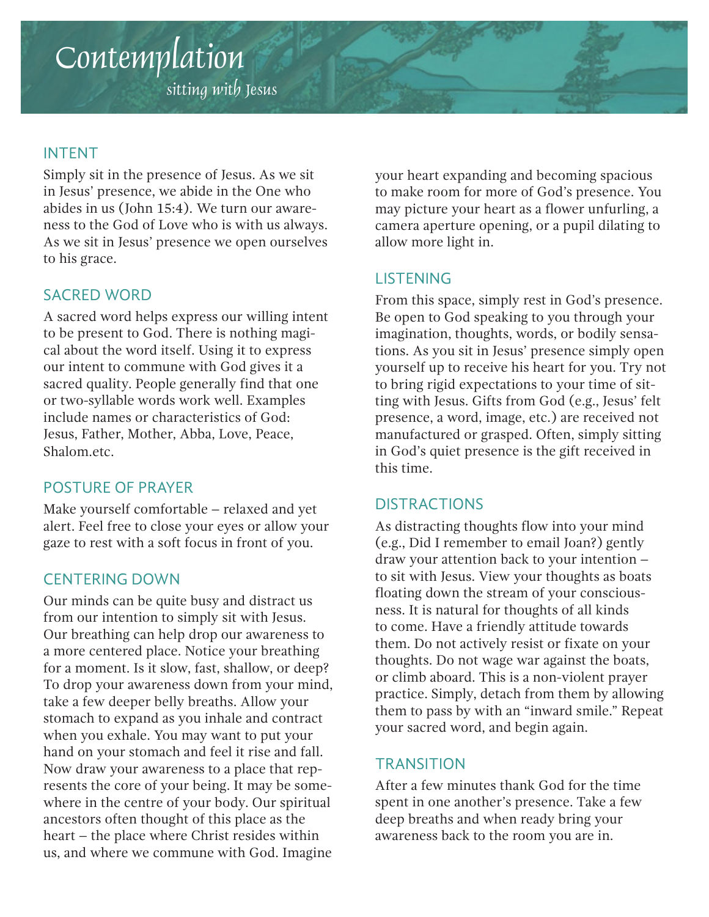# Contemplation

sitting with Jesus

### INTENT

Simply sit in the presence of Jesus. As we sit in Jesus' presence, we abide in the One who abides in us (John 15:4). We turn our awareness to the God of Love who is with us always. As we sit in Jesus' presence we open ourselves to his grace.

### SACRED WORD

A sacred word helps express our willing intent to be present to God. There is nothing magical about the word itself. Using it to express our intent to commune with God gives it a sacred quality. People generally find that one or two-syllable words work well. Examples include names or characteristics of God: Jesus, Father, Mother, Abba, Love, Peace, Shalom.etc.

### POSTURE OF PRAYER

Make yourself comfortable – relaxed and yet alert. Feel free to close your eyes or allow your gaze to rest with a soft focus in front of you.

### CENTERING DOWN

Our minds can be quite busy and distract us from our intention to simply sit with Jesus. Our breathing can help drop our awareness to a more centered place. Notice your breathing for a moment. Is it slow, fast, shallow, or deep? To drop your awareness down from your mind, take a few deeper belly breaths. Allow your stomach to expand as you inhale and contract when you exhale. You may want to put your hand on your stomach and feel it rise and fall. Now draw your awareness to a place that represents the core of your being. It may be somewhere in the centre of your body. Our spiritual ancestors often thought of this place as the heart – the place where Christ resides within us, and where we commune with God. Imagine

your heart expanding and becoming spacious to make room for more of God's presence. You may picture your heart as a flower unfurling, a camera aperture opening, or a pupil dilating to allow more light in.

### LISTENING

From this space, simply rest in God's presence. Be open to God speaking to you through your imagination, thoughts, words, or bodily sensations. As you sit in Jesus' presence simply open yourself up to receive his heart for you. Try not to bring rigid expectations to your time of sitting with Jesus. Gifts from God (e.g., Jesus' felt presence, a word, image, etc.) are received not manufactured or grasped. Often, simply sitting in God's quiet presence is the gift received in this time.

### **DISTRACTIONS**

As distracting thoughts flow into your mind (e.g., Did I remember to email Joan?) gently draw your attention back to your intention – to sit with Jesus. View your thoughts as boats floating down the stream of your consciousness. It is natural for thoughts of all kinds to come. Have a friendly attitude towards them. Do not actively resist or fixate on your thoughts. Do not wage war against the boats, or climb aboard. This is a non-violent prayer practice. Simply, detach from them by allowing them to pass by with an "inward smile." Repeat your sacred word, and begin again.

### **TRANSITION**

After a few minutes thank God for the time spent in one another's presence. Take a few deep breaths and when ready bring your awareness back to the room you are in.